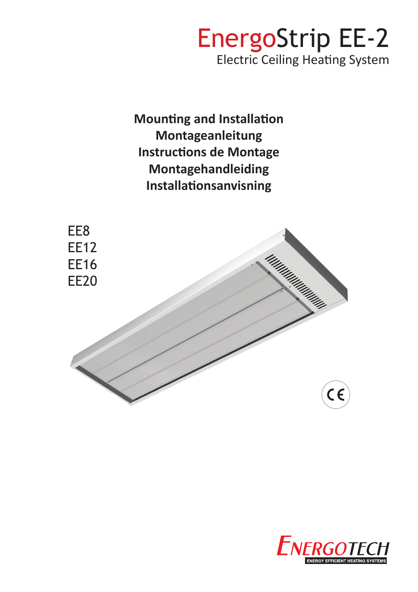# EnergoStrip EE-2 Electric Ceiling Heating System

**Mounting and Installation Montageanleitung Instructions de Montage Montagehandleiding Installationsanvisning**



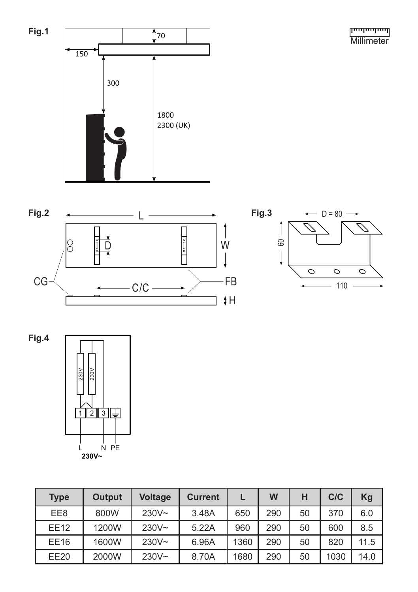للسيلسيلسينا **Millimeter** 





**Fig.4**



| <b>Type</b> | <b>Output</b> | <b>Voltage</b> | <b>Current</b> |      | W   | н  | C/C  | Kg   |
|-------------|---------------|----------------|----------------|------|-----|----|------|------|
| EE8         | 800W          | $230V -$       | 3.48A          | 650  | 290 | 50 | 370  | 6.0  |
| <b>EE12</b> | 1200W         | $230V -$       | 5.22A          | 960  | 290 | 50 | 600  | 8.5  |
| <b>EE16</b> | 1600W         | $230V -$       | 6.96A          | 1360 | 290 | 50 | 820  | 11.5 |
| <b>EE20</b> | 2000W         | $230V -$       | 8.70A          | 1680 | 290 | 50 | 1030 | 14.0 |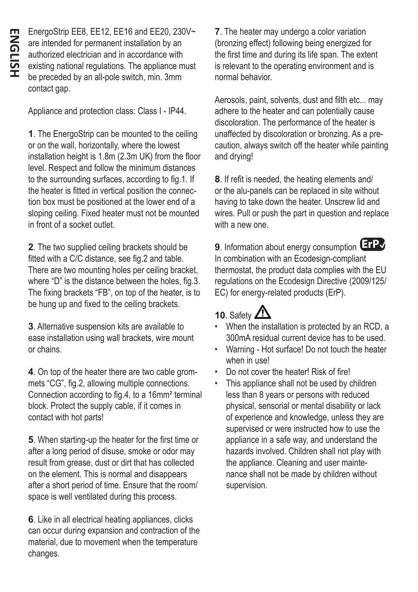EnergoStrip EE8, EE12, EE16 and EE20, 230V~ are intended for permanent installation by an authorized electrician and in accordance with existing national regulations. The appliance must be preceded by an all-pole switch, min. 3mm contact gap.

Appliance and protection class: Class I - IP44.

**1**. The EnergoStrip can be mounted to the ceiling or on the wall, horizontally, where the lowest installation height is 1.8m (2.3m UK) from the floor level. Respect and follow the minimum distances to the surrounding surfaces, according to fig.1. If the heater is fitted in vertical position the connection box must be positioned at the lower end of a sloping ceiling. Fixed heater must not be mounted in front of a socket outlet.

**2**. The two supplied ceiling brackets should be fitted with a C/C distance, see fig.2 and table. There are two mounting holes per ceiling bracket, where "D" is the distance between the holes, fig.3. The fixing brackets "FB", on top of the heater, is to be hung up and fixed to the ceiling brackets.

**3**. Alternative suspension kits are available to ease installation using wall brackets, wire mount or chains.

**4**. On top of the heater there are two cable grommets "CG", fig.2, allowing multiple connections. Connection according to fig.4, to a 16mm² terminal block. Protect the supply cable, if it comes in contact with hot parts!

**5**. When starting-up the heater for the first time or after a long period of disuse, smoke or odor may result from grease, dust or dirt that has collected on the element. This is normal and disappears after a short period of time. Ensure that the room/ space is well ventilated during this process.

**6**. Like in all electrical heating appliances, clicks can occur during expansion and contraction of the material, due to movement when the temperature changes.

**7**. The heater may undergo a color variation (bronzing effect) following being energized for the first time and during its life span. The extent is relevant to the operating environment and is normal behavior.

Aerosols, paint, solvents, dust and filth etc... may adhere to the heater and can potentially cause discoloration. The performance of the heater is unaffected by discoloration or bronzing. As a precaution, always switch off the heater while painting and drying!

**8**. If refit is needed, the heating elements and/ or the alu-panels can be replaced in site without having to take down the heater. Unscrew lid and wires. Pull or push the part in question and replace with a new one.

9. Information about energy consumption **ErP** In combination with an Ecodesign-compliant thermostat, the product data complies with the EU regulations on the Ecodesign Directive (2009/125/ EC) for energy-related products (ErP).

## **10.** Safety  $\angle$

- When the installation is protected by an RCD, a 300mA residual current device has to be used.
- Warning Hot surface! Do not touch the heater when in use!
- Do not cover the heater! Risk of fire!
- This appliance shall not be used by children less than 8 years or persons with reduced physical, sensorial or mental disability or lack of experience and knowledge, unless they are supervised or were instructed how to use the appliance in a safe way, and understand the hazards involved. Children shall not play with the appliance. Cleaning and user maintenance shall not be made by children without supervision.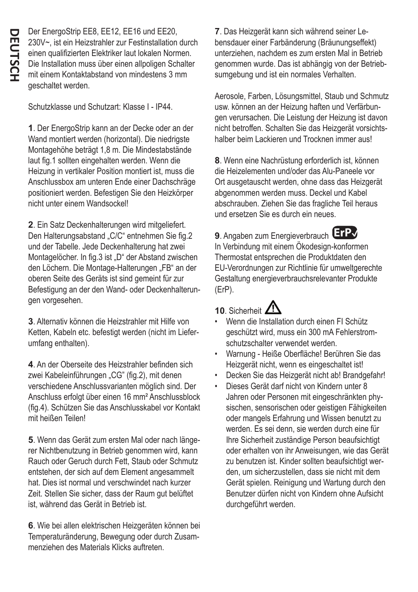Der EnergoStrip EE8, EE12, EE16 und EE20, 230V~, ist ein Heizstrahler zur Festinstallation durch einen qualifizierten Elektriker laut lokalen Normen. Die Installation muss über einen allpoligen Schalter mit einem Kontaktabstand von mindestens 3 mm geschaltet werden.

Schutzklasse und Schutzart: Klasse I - IP44.

**1**. Der EnergoStrip kann an der Decke oder an der Wand montiert werden (horizontal). Die niedrigste Montagehöhe beträgt 1,8 m. Die Mindestabstände laut fig.1 sollten eingehalten werden. Wenn die Heizung in vertikaler Position montiert ist, muss die Anschlussbox am unteren Ende einer Dachschräge positioniert werden. Befestigen Sie den Heizkörper nicht unter einem Wandsockel!

**2**. Ein Satz Deckenhalterungen wird mitgeliefert. Den Halterungsabstand "C/C" entnehmen Sie fig.2 und der Tabelle. Jede Deckenhalterung hat zwei Montagelöcher. In fig.3 ist "D" der Abstand zwischen den Löchern. Die Montage-Halterungen "FB" an der oberen Seite des Geräts ist sind gemeint für zur Befestigung an der den Wand- oder Deckenhalterungen vorgesehen.

**3**. Alternativ können die Heizstrahler mit Hilfe von Ketten, Kabeln etc. befestigt werden (nicht im Lieferumfang enthalten).

**4**. An der Oberseite des Heizstrahler befinden sich zwei Kabeleinführungen "CG" (fig.2), mit denen verschiedene Anschlussvarianten möglich sind. Der Anschluss erfolgt über einen 16 mm² Anschlussblock (fig.4). Schützen Sie das Anschlusskabel vor Kontakt mit heißen Teilen!

**5**. Wenn das Gerät zum ersten Mal oder nach längerer Nichtbenutzung in Betrieb genommen wird, kann Rauch oder Geruch durch Fett, Staub oder Schmutz entstehen, der sich auf dem Element angesammelt hat. Dies ist normal und verschwindet nach kurzer Zeit. Stellen Sie sicher, dass der Raum gut belüftet ist, während das Gerät in Betrieb ist.

**6**. Wie bei allen elektrischen Heizgeräten können bei Temperaturänderung, Bewegung oder durch Zusammenziehen des Materials Klicks auftreten.

**7**. Das Heizgerät kann sich während seiner Lebensdauer einer Farbänderung (Bräunungseffekt) unterziehen, nachdem es zum ersten Mal in Betrieb genommen wurde. Das ist abhängig von der Betriebsumgebung und ist ein normales Verhalten.

Aerosole, Farben, Lösungsmittel, Staub und Schmutz usw. können an der Heizung haften und Verfärbungen verursachen. Die Leistung der Heizung ist davon nicht betroffen. Schalten Sie das Heizgerät vorsichtshalber beim Lackieren und Trocknen immer aus!

**8**. Wenn eine Nachrüstung erforderlich ist, können die Heizelementen und/oder das Alu-Paneele vor Ort ausgetauscht werden, ohne dass das Heizgerät abgenommen werden muss. Deckel und Kabel abschrauben. Ziehen Sie das fragliche Teil heraus und ersetzen Sie es durch ein neues.

**9**. Angaben zum Energieverbrauch **ErP**✔



In Verbindung mit einem Ökodesign-konformen Thermostat entsprechen die Produktdaten den EU-Verordnungen zur Richtlinie für umweltgerechte Gestaltung energieverbrauchsrelevanter Produkte (ErP).

## 10 Sicherheit **/!**

- Wenn die Installation durch einen FI Schütz geschützt wird, muss ein 300 mA Fehlerstromschutzschalter verwendet werden.
- Warnung Heiße Oberfläche! Berühren Sie das Heizgerät nicht, wenn es eingeschaltet ist!
- Decken Sie das Heizgerät nicht ab! Brandgefahr!
- Dieses Gerät darf nicht von Kindern unter 8 Jahren oder Personen mit eingeschränkten physischen, sensorischen oder geistigen Fähigkeiten oder mangels Erfahrung und Wissen benutzt zu werden. Es sei denn, sie werden durch eine für Ihre Sicherheit zuständige Person beaufsichtigt oder erhalten von ihr Anweisungen, wie das Gerät zu benutzen ist. Kinder sollten beaufsichtigt werden, um sicherzustellen, dass sie nicht mit dem Gerät spielen. Reinigung und Wartung durch den Benutzer dürfen nicht von Kindern ohne Aufsicht durchgeführt werden.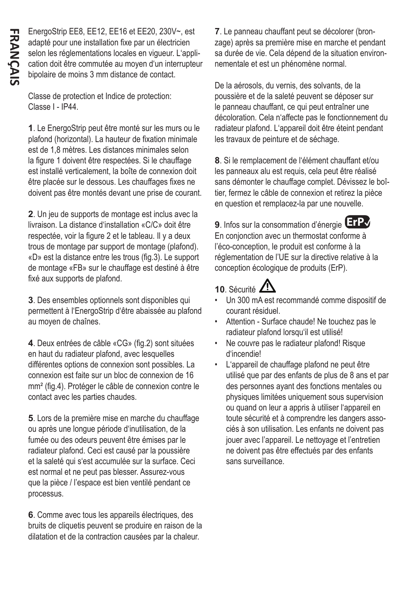EnergoStrip EE8, EE12, EE16 et EE20, 230V~, est adapté pour une installation fixe par un électricien selon les réglementations locales en vigueur. L'application doit être commutée au moyen d'un interrupteur bipolaire de moins 3 mm distance de contact.

Classe de protection et Indice de protection: Classe I - IP44.

**1**. Le EnergoStrip peut être monté sur les murs ou le plafond (horizontal). La hauteur de fixation minimale est de 1,8 mètres. Les distances minimales selon la figure 1 doivent être respectées. Si le chauffage est installé verticalement, la boîte de connexion doit être placée sur le dessous. Les chauffages fixes ne doivent pas être montés devant une prise de courant.

**2**. Un jeu de supports de montage est inclus avec la livraison. La distance d'installation «C/C» doit être respectée, voir la figure 2 et le tableau. Il y a deux trous de montage par support de montage (plafond). «D» est la distance entre les trous (fig.3). Le support de montage «FB» sur le chauffage est destiné à être fixé aux supports de plafond.

**3**. Des ensembles optionnels sont disponibles qui permettent à l'EnergoStrip d'être abaissée au plafond au moyen de chaînes.

**4**. Deux entrées de câble «CG» (fig.2) sont situées en haut du radiateur plafond, avec lesquelles différentes options de connexion sont possibles. La connexion est faite sur un bloc de connexion de 16 mm² (fig.4). Protéger le câble de connexion contre le contact avec les parties chaudes.

**5**. Lors de la première mise en marche du chauffage ou après une longue période d'inutilisation, de la fumée ou des odeurs peuvent être émises par le radiateur plafond. Ceci est causé par la poussière et la saleté qui s'est accumulée sur la surface. Ceci est normal et ne peut pas blesser. Assurez-vous que la pièce / l'espace est bien ventilé pendant ce processus.

**6**. Comme avec tous les appareils électriques, des bruits de cliquetis peuvent se produire en raison de la dilatation et de la contraction causées par la chaleur.

**7**. Le panneau chauffant peut se décolorer (bronzage) après sa première mise en marche et pendant sa durée de vie. Cela dépend de la situation environnementale et est un phénomène normal.

De la aérosols, du vernis, des solvants, de la poussière et de la saleté peuvent se déposer sur le panneau chauffant, ce qui peut entraîner une décoloration. Cela n'affecte pas le fonctionnement du radiateur plafond. L'appareil doit être éteint pendant les travaux de peinture et de séchage.

**8**. Si le remplacement de l'élément chauffant et/ou les panneaux alu est requis, cela peut être réalisé sans démonter le chauffage complet. Dévissez le boîtier, fermez le câble de connexion et retirez la pièce en question et remplacez-la par une nouvelle.

**9**. Infos sur la consommation d'énergie **ErP**✔En conjonction avec un thermostat conforme à l'éco-conception, le produit est conforme à la réglementation de l'UE sur la directive relative à la conception écologique de produits (ErP).

## 10. Sécurité  $\mathbf{\Lambda}$

- Un 300 mA est recommandé comme dispositif de courant résiduel.
- Attention Surface chaude! Ne touchez pas le radiateur plafond lorsqu'il est utilisé!
- Ne couvre pas le radiateur plafond! Risque d'incendie!
- L'appareil de chauffage plafond ne peut être utilisé que par des enfants de plus de 8 ans et par des personnes ayant des fonctions mentales ou physiques limitées uniquement sous supervision ou quand on leur a appris à utiliser l'appareil en toute sécurité et à comprendre les dangers associés à son utilisation. Les enfants ne doivent pas jouer avec l'appareil. Le nettoyage et l'entretien ne doivent pas être effectués par des enfants sans surveillance.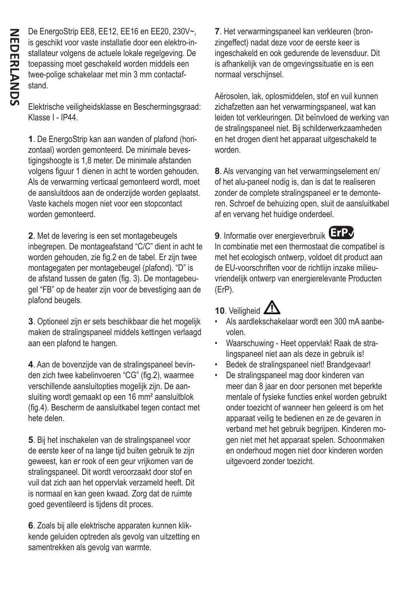De EnergoStrip EE8, EE12, EE16 en EE20, 230V~, is geschikt voor vaste installatie door een elektro-installateur volgens de actuele lokale regelgeving. De toepassing moet geschakeld worden middels een twee-polige schakelaar met min 3 mm contactafstand.

Elektrische veiligheidsklasse en Beschermingsgraad: Klasse I - IP44.

**1**. De EnergoStrip kan aan wanden of plafond (horizontaal) worden gemonteerd. De minimale bevestigingshoogte is 1,8 meter. De minimale afstanden volgens figuur 1 dienen in acht te worden gehouden. Als de verwarming verticaal gemonteerd wordt, moet de aansluitdoos aan de onderzijde worden geplaatst. Vaste kachels mogen niet voor een stopcontact worden gemonteerd.

**2**. Met de levering is een set montagebeugels inbegrepen. De montageafstand "C/C" dient in acht te worden gehouden, zie fig.2 en de tabel. Er zijn twee montagegaten per montagebeugel (plafond). "D" is de afstand tussen de gaten (fig. 3). De montagebeugel "FB" op de heater zijn voor de bevestiging aan de plafond beugels.

**3**. Optioneel zijn er sets beschikbaar die het mogelijk maken de stralingspaneel middels kettingen verlaagd aan een plafond te hangen.

**4**. Aan de bovenzijde van de stralingspaneel bevinden zich twee kabelinvoeren "CG" (fig.2), waarmee verschillende aansluitopties mogelijk zijn. De aansluiting wordt gemaakt op een 16 mm² aansluitblok (fig.4). Bescherm de aansluitkabel tegen contact met hete delen.

**5**. Bij het inschakelen van de stralingspaneel voor de eerste keer of na lange tijd buiten gebruik te zijn geweest, kan er rook of een geur vrijkomen van de stralingspaneel. Dit wordt veroorzaakt door stof en vuil dat zich aan het oppervlak verzameld heeft. Dit is normaal en kan geen kwaad. Zorg dat de ruimte goed geventileerd is tijdens dit proces.

**6**. Zoals bij alle elektrische apparaten kunnen klikkende geluiden optreden als gevolg van uitzetting en samentrekken als gevolg van warmte.

**7**. Het verwarmingspaneel kan verkleuren (bronzingeffect) nadat deze voor de eerste keer is ingeschakeld en ook gedurende de levensduur. Dit is afhankelijk van de omgevingssituatie en is een normaal verschijnsel.

Aërosolen, lak, oplosmiddelen, stof en vuil kunnen zichafzetten aan het verwarmingspaneel, wat kan leiden tot verkleuringen. Dit beïnvloed de werking van de stralingspaneel niet. Bij schilderwerkzaamheden en het drogen dient het apparaat uitgeschakeld te worden.

**8**. Als vervanging van het verwarmingselement en/ of het alu-paneel nodig is, dan is dat te realiseren zonder de complete stralingspaneel er te demonteren. Schroef de behuizing open, sluit de aansluitkabel af en vervang het huidige onderdeel.

9. Informatie over energieverbruik **ErP** 



In combinatie met een thermostaat die compatibel is met het ecologisch ontwerp, voldoet dit product aan de EU-voorschriften voor de richtlijn inzake milieuvriendelijk ontwerp van energierelevante Producten (ErP).

## 10. Veiligheid  $\mathbb{Z}^n$

- Als aardlekschakelaar wordt een 300 mA aanbevolen.
- Waarschuwing Heet oppervlak! Raak de stralingspaneel niet aan als deze in gebruik is!
- Bedek de stralingspaneel niet! Brandgevaar!
- De stralingspaneel mag door kinderen van meer dan 8 jaar en door personen met beperkte mentale of fysieke functies enkel worden gebruikt onder toezicht of wanneer hen geleerd is om het apparaat veilig te bedienen en ze de gevaren in verband met het gebruik begrijpen. Kinderen mogen niet met het apparaat spelen. Schoonmaken en onderhoud mogen niet door kinderen worden uitgevoerd zonder toezicht.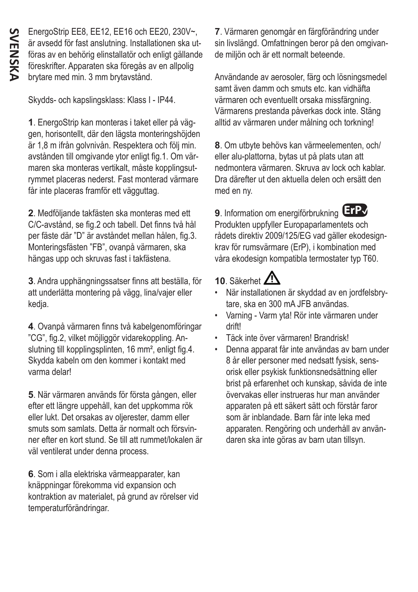EnergoStrip EE8, EE12, EE16 och EE20, 230V~, är avsedd för fast anslutning. Installationen ska utföras av en behörig elinstallatör och enligt gällande föreskrifter. Apparaten ska föregås av en allpolig brytare med min. 3 mm brytavstånd.

Skydds- och kapslingsklass: Klass I - IP44.

**1**. EnergoStrip kan monteras i taket eller på väggen, horisontellt, där den lägsta monteringshöjden är 1,8 m ifrån golvnivån. Respektera och följ min. avstånden till omgivande ytor enligt fig.1. Om värmaren ska monteras vertikalt, måste kopplingsutrymmet placeras nederst. Fast monterad värmare får inte placeras framför ett vägguttag.

**2**. Medföljande takfästen ska monteras med ett C/C-avstånd, se fig.2 och tabell. Det finns två hål per fäste där "D" är avståndet mellan hålen, fig.3. Monteringsfästen "FB", ovanpå värmaren, ska hängas upp och skruvas fast i takfästena.

**3**. Andra upphängningssatser finns att beställa, för att underlätta montering på vägg, lina/vajer eller kedja.

**4**. Ovanpå värmaren finns två kabelgenomföringar "CG", fig.2, vilket möjliggör vidarekoppling. Anslutning till kopplingsplinten, 16 mm², enligt fig.4. Skydda kabeln om den kommer i kontakt med varma delar!

**5**. När värmaren används för första gången, eller efter ett längre uppehåll, kan det uppkomma rök eller lukt. Det orsakas av oljerester, damm eller smuts som samlats. Detta är normalt och försvinner efter en kort stund. Se till att rummet/lokalen är väl ventilerat under denna process.

**6**. Som i alla elektriska värmeapparater, kan knäppningar förekomma vid expansion och kontraktion av materialet, på grund av rörelser vid temperaturförändringar.

**7**. Värmaren genomgår en färgförändring under sin livslängd. Omfattningen beror på den omgivande miljön och är ett normalt beteende.

Användande av aerosoler, färg och lösningsmedel samt även damm och smuts etc. kan vidhäfta värmaren och eventuellt orsaka missfärgning. Värmarens prestanda påverkas dock inte. Stäng alltid av värmaren under målning och torkning!

**8**. Om utbyte behövs kan värmeelementen, och/ eller alu-plattorna, bytas ut på plats utan att nedmontera värmaren. Skruva av lock och kablar. Dra därefter ut den aktuella delen och ersätt den med en ny.

**9**. Information om energiförbrukning **ErP**✔Produkten uppfyller Europaparlamentets och rådets direktiv 2009/125/EG vad gäller ekodesignkrav för rumsvärmare (ErP), i kombination med våra ekodesign kompatibla termostater typ T60.

## 10. Säkerhet  $\sqrt{N}$

- När installationen är skyddad av en jordfelsbrytare, ska en 300 mA JFB användas.
- Varning Varm yta! Rör inte värmaren under drift!
- Täck inte över värmaren! Brandrisk!
- Denna apparat får inte användas av barn under 8 år eller personer med nedsatt fysisk, sensorisk eller psykisk funktionsnedsättning eller brist på erfarenhet och kunskap, såvida de inte övervakas eller instrueras hur man använder apparaten på ett säkert sätt och förstår faror som är inblandade. Barn får inte leka med apparaten. Rengöring och underhåll av användaren ska inte göras av barn utan tillsyn.